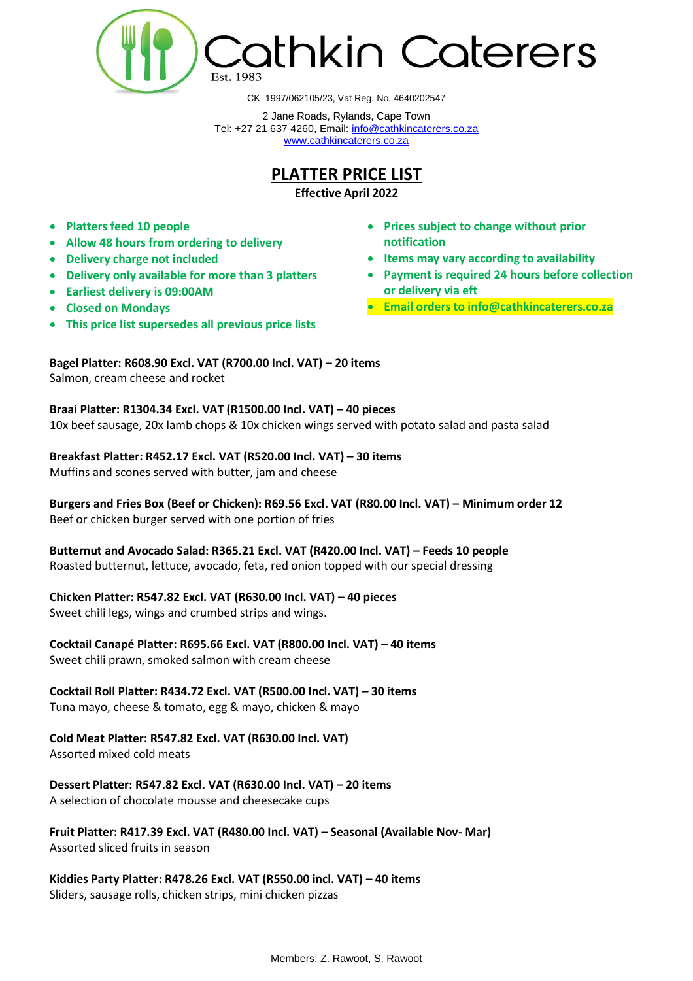

CK 1997/062105/23, Vat Reg. No. 4640202547

2 Jane Roads, Rylands, Cape Town Tel: +27 21 637 4260, Email: [info@cathkincaterers.co.za](mailto:info@cathkincaterers.co.za) [www.cathkincaterers.co.za](http://www.cathkincaterers.co.za/)

## **PLATTER PRICE LIST**

**Effective April 2022**

- **Platters feed 10 people**
- **Allow 48 hours from ordering to delivery**
- **Delivery charge not included**
- **Delivery only available for more than 3 platters**
- **Earliest delivery is 09:00AM**
- **Closed on Mondays**
- **This price list supersedes all previous price lists**
- **Prices subject to change without prior notification**
- **Items may vary according to availability**
- **Payment is required 24 hours before collection or delivery via eft**
- **Email orders to info@cathkincaterers.co.za**

**Bagel Platter: R608.90 Excl. VAT (R700.00 Incl. VAT) – 20 items** Salmon, cream cheese and rocket

**Braai Platter: R1304.34 Excl. VAT (R1500.00 Incl. VAT) – 40 pieces**  10x beef sausage, 20x lamb chops & 10x chicken wings served with potato salad and pasta salad

**Breakfast Platter: R452.17 Excl. VAT (R520.00 Incl. VAT) – 30 items** Muffins and scones served with butter, jam and cheese

**Burgers and Fries Box (Beef or Chicken): R69.56 Excl. VAT (R80.00 Incl. VAT) – Minimum order 12**  Beef or chicken burger served with one portion of fries

**Butternut and Avocado Salad: R365.21 Excl. VAT (R420.00 Incl. VAT) – Feeds 10 people** Roasted butternut, lettuce, avocado, feta, red onion topped with our special dressing

**Chicken Platter: R547.82 Excl. VAT (R630.00 Incl. VAT) – 40 pieces**

Sweet chili legs, wings and crumbed strips and wings.

**Cocktail Canapé Platter: R695.66 Excl. VAT (R800.00 Incl. VAT) – 40 items** Sweet chili prawn, smoked salmon with cream cheese

**Cocktail Roll Platter: R434.72 Excl. VAT (R500.00 Incl. VAT) – 30 items** Tuna mayo, cheese & tomato, egg & mayo, chicken & mayo

**Cold Meat Platter: R547.82 Excl. VAT (R630.00 Incl. VAT)**

Assorted mixed cold meats

**Dessert Platter: R547.82 Excl. VAT (R630.00 Incl. VAT) – 20 items** A selection of chocolate mousse and cheesecake cups

**Fruit Platter: R417.39 Excl. VAT (R480.00 Incl. VAT) – Seasonal (Available Nov- Mar)**  Assorted sliced fruits in season

**Kiddies Party Platter: R478.26 Excl. VAT (R550.00 incl. VAT) – 40 items** Sliders, sausage rolls, chicken strips, mini chicken pizzas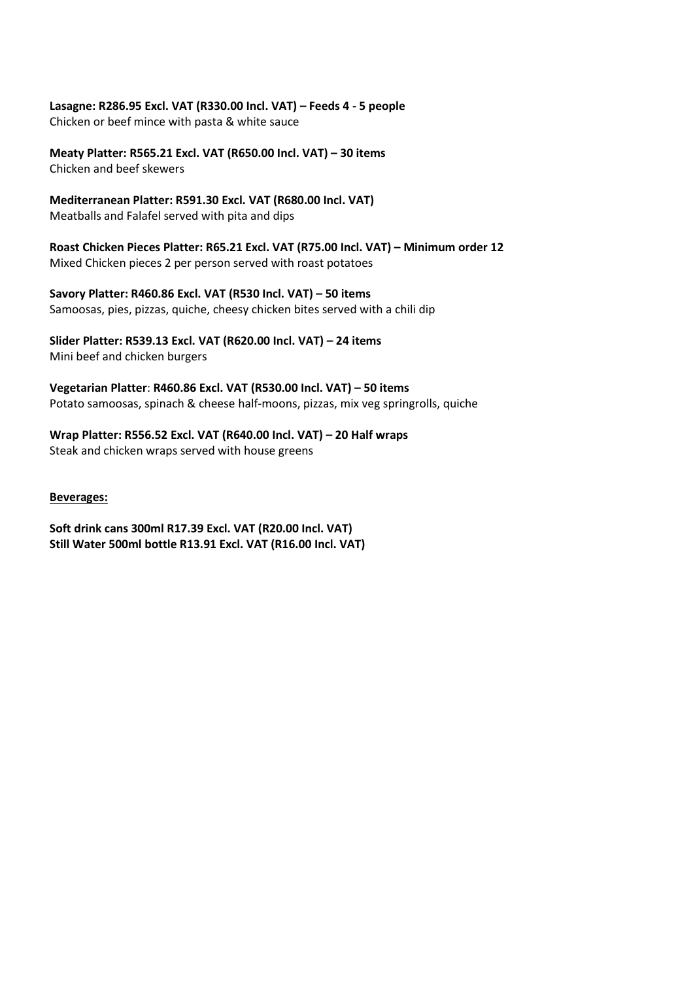## **Lasagne: R286.95 Excl. VAT (R330.00 Incl. VAT) – Feeds 4 - 5 people**

Chicken or beef mince with pasta & white sauce

**Meaty Platter: R565.21 Excl. VAT (R650.00 Incl. VAT) – 30 items** Chicken and beef skewers

**Mediterranean Platter: R591.30 Excl. VAT (R680.00 Incl. VAT)**  Meatballs and Falafel served with pita and dips

**Roast Chicken Pieces Platter: R65.21 Excl. VAT (R75.00 Incl. VAT) – Minimum order 12**  Mixed Chicken pieces 2 per person served with roast potatoes

**Savory Platter: R460.86 Excl. VAT (R530 Incl. VAT) – 50 items** Samoosas, pies, pizzas, quiche, cheesy chicken bites served with a chili dip

**Slider Platter: R539.13 Excl. VAT (R620.00 Incl. VAT) – 24 items** Mini beef and chicken burgers

**Vegetarian Platter**: **R460.86 Excl. VAT (R530.00 Incl. VAT) – 50 items** Potato samoosas, spinach & cheese half-moons, pizzas, mix veg springrolls, quiche

**Wrap Platter: R556.52 Excl. VAT (R640.00 Incl. VAT) – 20 Half wraps** Steak and chicken wraps served with house greens

**Beverages:**

**Soft drink cans 300ml R17.39 Excl. VAT (R20.00 Incl. VAT) Still Water 500ml bottle R13.91 Excl. VAT (R16.00 Incl. VAT)**